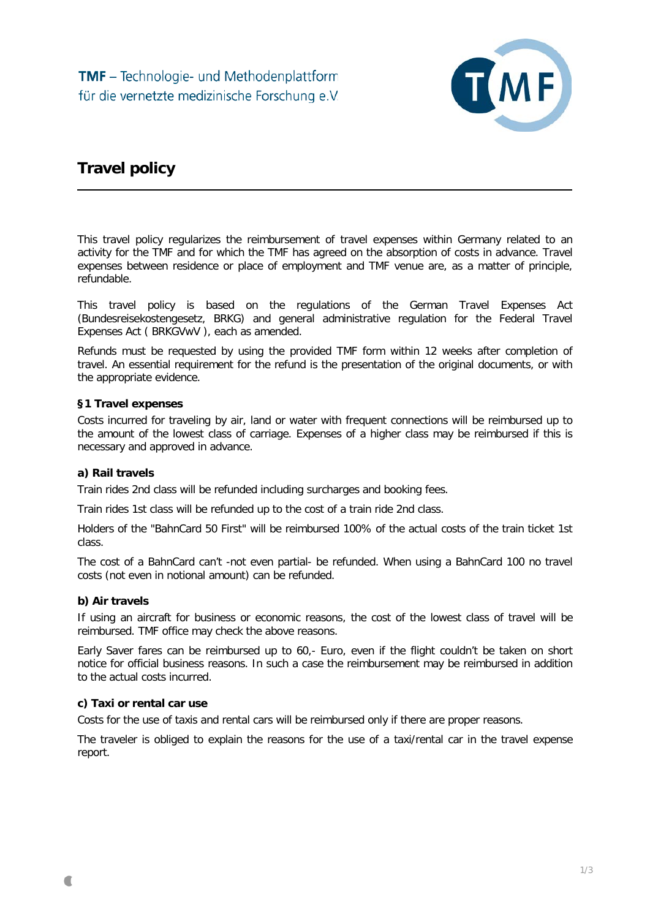

# **Travel policy**

This travel policy regularizes the reimbursement of travel expenses within Germany related to an activity for the TMF and for which the TMF has agreed on the absorption of costs in advance. Travel expenses between residence or place of employment and TMF venue are, as a matter of principle, refundable.

This travel policy is based on the regulations of the German Travel Expenses Act (Bundesreisekostengesetz, BRKG) and general administrative regulation for the Federal Travel Expenses Act ( BRKGVwV ), each as amended.

Refunds must be requested by using the provided TMF form within 12 weeks after completion of travel. An essential requirement for the refund is the presentation of the original documents, or with the appropriate evidence.

## **§1 Travel expenses**

Costs incurred for traveling by air, land or water with frequent connections will be reimbursed up to the amount of the lowest class of carriage. Expenses of a higher class may be reimbursed if this is necessary and approved in advance.

## **a) Rail travels**

Train rides 2nd class will be refunded including surcharges and booking fees.

Train rides 1st class will be refunded up to the cost of a train ride 2nd class.

Holders of the "BahnCard 50 First" will be reimbursed 100% of the actual costs of the train ticket 1st class.

The cost of a BahnCard can't -not even partial- be refunded. When using a BahnCard 100 no travel costs (not even in notional amount) can be refunded.

## **b) Air travels**

If using an aircraft for business or economic reasons, the cost of the lowest class of travel will be reimbursed. TMF office may check the above reasons.

Early Saver fares can be reimbursed up to 60,- Euro, even if the flight couldn't be taken on short notice for official business reasons. In such a case the reimbursement may be reimbursed in addition to the actual costs incurred.

## **c) Taxi or rental car use**

Costs for the use of taxis and rental cars will be reimbursed only if there are proper reasons.

The traveler is obliged to explain the reasons for the use of a taxi/rental car in the travel expense report.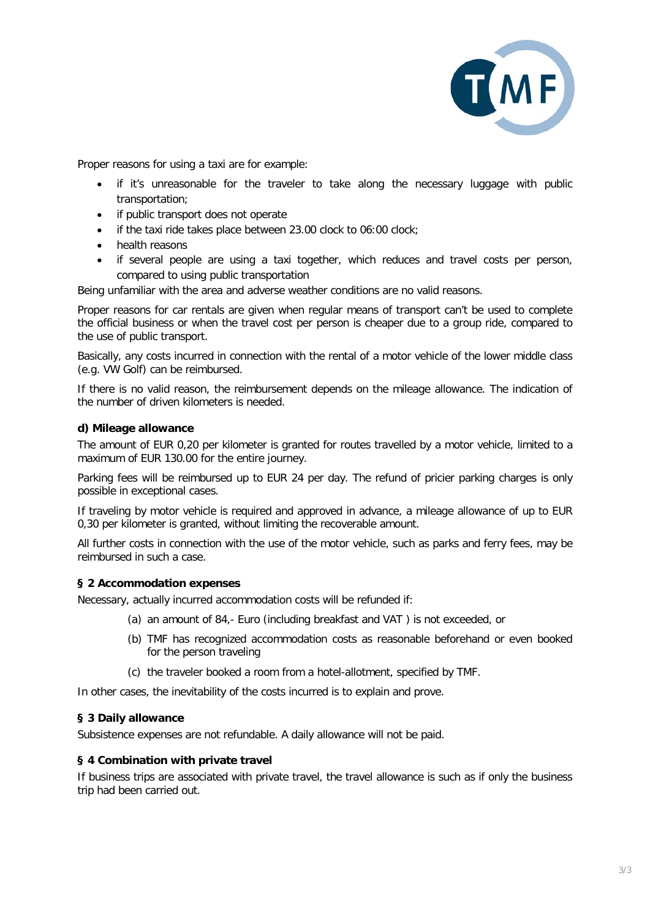

Proper reasons for using a taxi are for example:

- if it's unreasonable for the traveler to take along the necessary luggage with public transportation;
- if public transport does not operate
- if the taxi ride takes place between 23.00 clock to 06:00 clock;
- health reasons
- if several people are using a taxi together, which reduces and travel costs per person, compared to using public transportation

Being unfamiliar with the area and adverse weather conditions are no valid reasons.

Proper reasons for car rentals are given when regular means of transport can't be used to complete the official business or when the travel cost per person is cheaper due to a group ride, compared to the use of public transport.

Basically, any costs incurred in connection with the rental of a motor vehicle of the lower middle class (e.g. VW Golf) can be reimbursed.

If there is no valid reason, the reimbursement depends on the mileage allowance. The indication of the number of driven kilometers is needed.

#### **d) Mileage allowance**

The amount of EUR 0,20 per kilometer is granted for routes travelled by a motor vehicle, limited to a maximum of EUR 130.00 for the entire journey.

Parking fees will be reimbursed up to EUR 24 per day. The refund of pricier parking charges is only possible in exceptional cases.

If traveling by motor vehicle is required and approved in advance, a mileage allowance of up to EUR 0,30 per kilometer is granted, without limiting the recoverable amount.

All further costs in connection with the use of the motor vehicle, such as parks and ferry fees, may be reimbursed in such a case.

## **§ 2 Accommodation expenses**

Necessary, actually incurred accommodation costs will be refunded if:

- (a) an amount of 84,- Euro (including breakfast and VAT ) is not exceeded, or
- (b) TMF has recognized accommodation costs as reasonable beforehand or even booked for the person traveling
- (c) the traveler booked a room from a hotel-allotment, specified by TMF.

In other cases, the inevitability of the costs incurred is to explain and prove.

## **§ 3 Daily allowance**

Subsistence expenses are not refundable. A daily allowance will not be paid.

#### **§ 4 Combination with private travel**

If business trips are associated with private travel, the travel allowance is such as if only the business trip had been carried out.